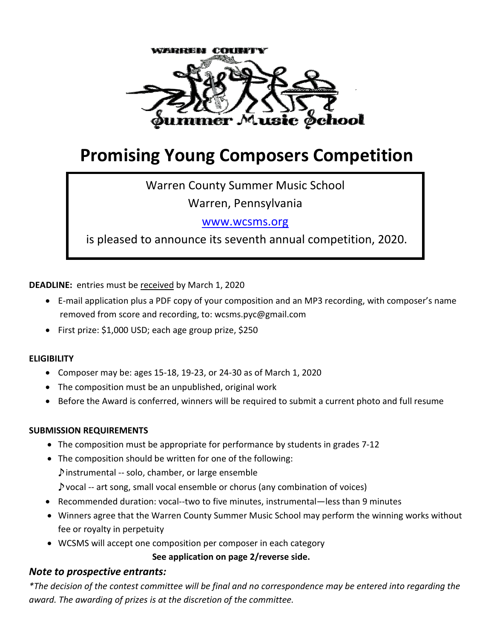

# **Promising Young Composers Competition**

Warren County Summer Music School

Warren, Pennsylvania

[www.wcsms.org](http://www.wcsms.org/)

is pleased to announce its seventh annual competition, 2020.

**DEADLINE:** entries must be received by March 1, 2020

- E-mail application plus a PDF copy of your composition and an MP3 recording, with composer's name removed from score and recording, to: wcsms.pyc@gmail.com
- First prize: \$1,000 USD; each age group prize, \$250

#### **ELIGIBILITY**

- Composer may be: ages 15-18, 19-23, or 24-30 as of March 1, 2020
- The composition must be an unpublished, original work
- Before the Award is conferred, winners will be required to submit a current photo and full resume

#### **SUBMISSION REQUIREMENTS**

- The composition must be appropriate for performance by students in grades 7-12
- The composition should be written for one of the following:

♪instrumental -- solo, chamber, or large ensemble

- ♪vocal -- art song, small vocal ensemble or chorus (any combination of voices)
- Recommended duration: vocal--two to five minutes, instrumental—less than 9 minutes
- Winners agree that the Warren County Summer Music School may perform the winning works without fee or royalty in perpetuity
- WCSMS will accept one composition per composer in each category

 **See application on page 2/reverse side.**

#### *Note to prospective entrants:*

*\*The decision of the contest committee will be final and no correspondence may be entered into regarding the award. The awarding of prizes is at the discretion of the committee.*